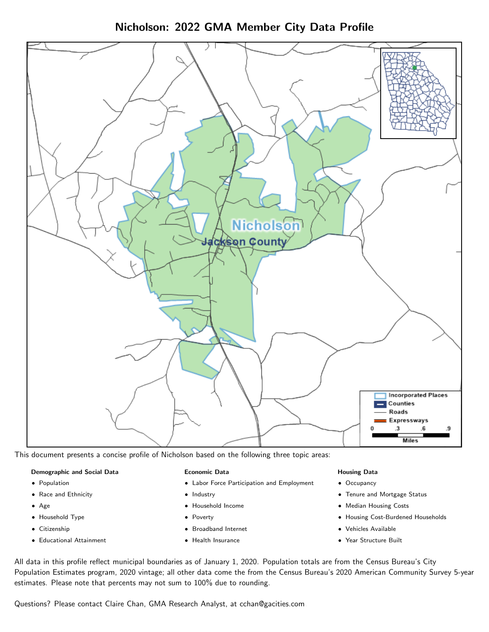Nicholson: 2022 GMA Member City Data Profile



This document presents a concise profile of Nicholson based on the following three topic areas:

#### Demographic and Social Data

- **•** Population
- Race and Ethnicity
- Age
- Household Type
- **Citizenship**
- Educational Attainment

#### Economic Data

- Labor Force Participation and Employment
- Industry
- Household Income
- Poverty
- Broadband Internet
- Health Insurance

#### Housing Data

- Occupancy
- Tenure and Mortgage Status
- Median Housing Costs
- Housing Cost-Burdened Households
- Vehicles Available
- $\bullet$ Year Structure Built

All data in this profile reflect municipal boundaries as of January 1, 2020. Population totals are from the Census Bureau's City Population Estimates program, 2020 vintage; all other data come the from the Census Bureau's 2020 American Community Survey 5-year estimates. Please note that percents may not sum to 100% due to rounding.

Questions? Please contact Claire Chan, GMA Research Analyst, at [cchan@gacities.com.](mailto:cchan@gacities.com)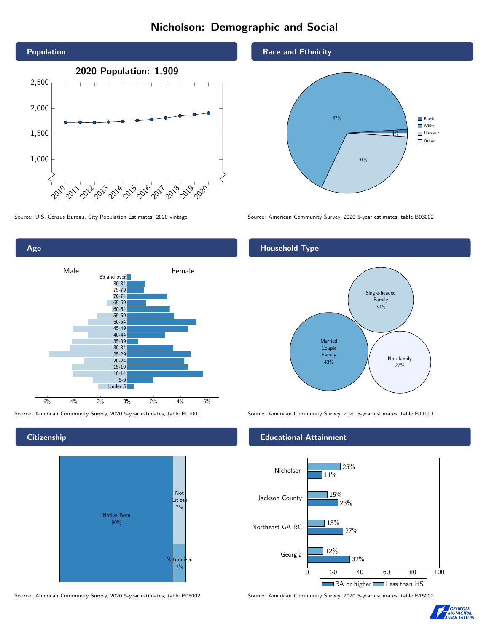# Nicholson: Demographic and Social





**Citizenship** 



Source: American Community Survey, 2020 5-year estimates, table B05002 Source: American Community Survey, 2020 5-year estimates, table B15002

Race and Ethnicity



Source: U.S. Census Bureau, City Population Estimates, 2020 vintage Source: American Community Survey, 2020 5-year estimates, table B03002

## Household Type



Source: American Community Survey, 2020 5-year estimates, table B01001 Source: American Community Survey, 2020 5-year estimates, table B11001

#### Educational Attainment



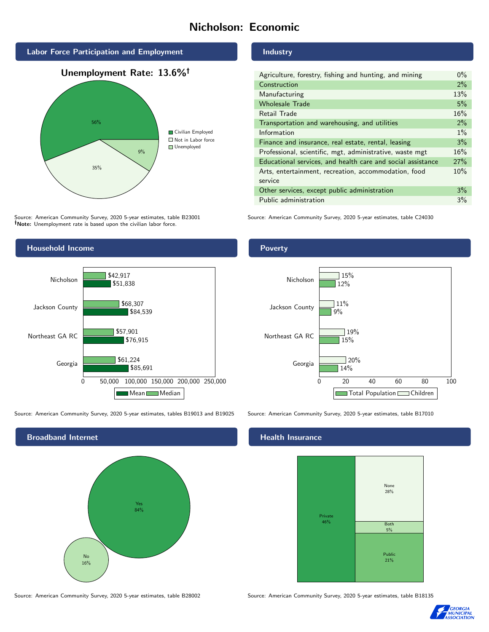# Nicholson: Economic







Source: American Community Survey, 2020 5-year estimates, table B23001 Note: Unemployment rate is based upon the civilian labor force.



Source: American Community Survey, 2020 5-year estimates, tables B19013 and B19025 Source: American Community Survey, 2020 5-year estimates, table B17010



#### Industry

| Agriculture, forestry, fishing and hunting, and mining      | $0\%$ |
|-------------------------------------------------------------|-------|
| Construction                                                | 2%    |
| Manufacturing                                               | 13%   |
| <b>Wholesale Trade</b>                                      | 5%    |
| Retail Trade                                                | 16%   |
| Transportation and warehousing, and utilities               | 2%    |
| Information                                                 | $1\%$ |
| Finance and insurance, real estate, rental, leasing         | 3%    |
| Professional, scientific, mgt, administrative, waste mgt    | 16%   |
| Educational services, and health care and social assistance | 27%   |
| Arts, entertainment, recreation, accommodation, food        | 10%   |
| service                                                     |       |
| Other services, except public administration                | 3%    |
| Public administration                                       | 3%    |

Source: American Community Survey, 2020 5-year estimates, table C24030

#### Poverty



#### Health Insurance



Source: American Community Survey, 2020 5-year estimates, table B28002 Source: American Community Survey, 2020 5-year estimates, table B18135